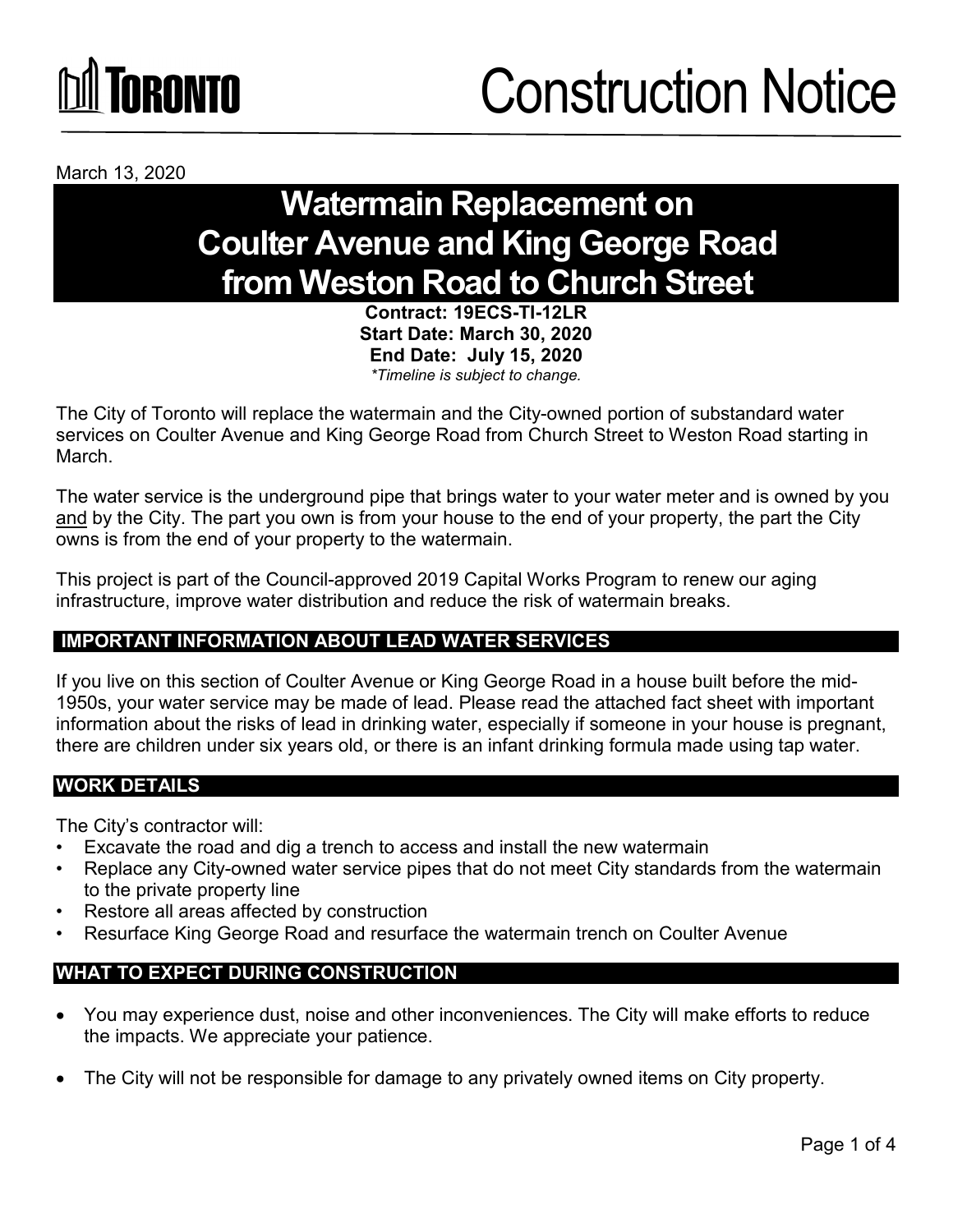# **ÍNRANTA**

March 13, 2020

### **Watermain Replacement on Coulter Avenue and King George Road from Weston Road to Church Street**

**Contract: 19ECS-TI-12LR Start Date: March 30, 2020 End Date: July 15, 2020** *\*Timeline is subject to change.*

The City of Toronto will replace the watermain and the City-owned portion of substandard water services on Coulter Avenue and King George Road from Church Street to Weston Road starting in March.

The water service is the underground pipe that brings water to your water meter and is owned by you and by the City. The part you own is from your house to the end of your property, the part the City owns is from the end of your property to the watermain.

This project is part of the Council-approved 2019 Capital Works Program to renew our aging infrastructure, improve water distribution and reduce the risk of watermain breaks.

#### **IMPORTANT INFORMATION ABOUT LEAD WATER SERVICES**

If you live on this section of Coulter Avenue or King George Road in a house built before the mid-1950s, your water service may be made of lead. Please read the attached fact sheet with important information about the risks of lead in drinking water, especially if someone in your house is pregnant, there are children under six years old, or there is an infant drinking formula made using tap water.

#### **WORK DETAILS**

The City's contractor will:

- Excavate the road and dig a trench to access and install the new watermain
- Replace any City-owned water service pipes that do not meet City standards from the watermain to the private property line
- Restore all areas affected by construction
- Resurface King George Road and resurface the watermain trench on Coulter Avenue

#### **WHAT TO EXPECT DURING CONSTRUCTION**

- You may experience dust, noise and other inconveniences. The City will make efforts to reduce the impacts. We appreciate your patience.
- The City will not be responsible for damage to any privately owned items on City property.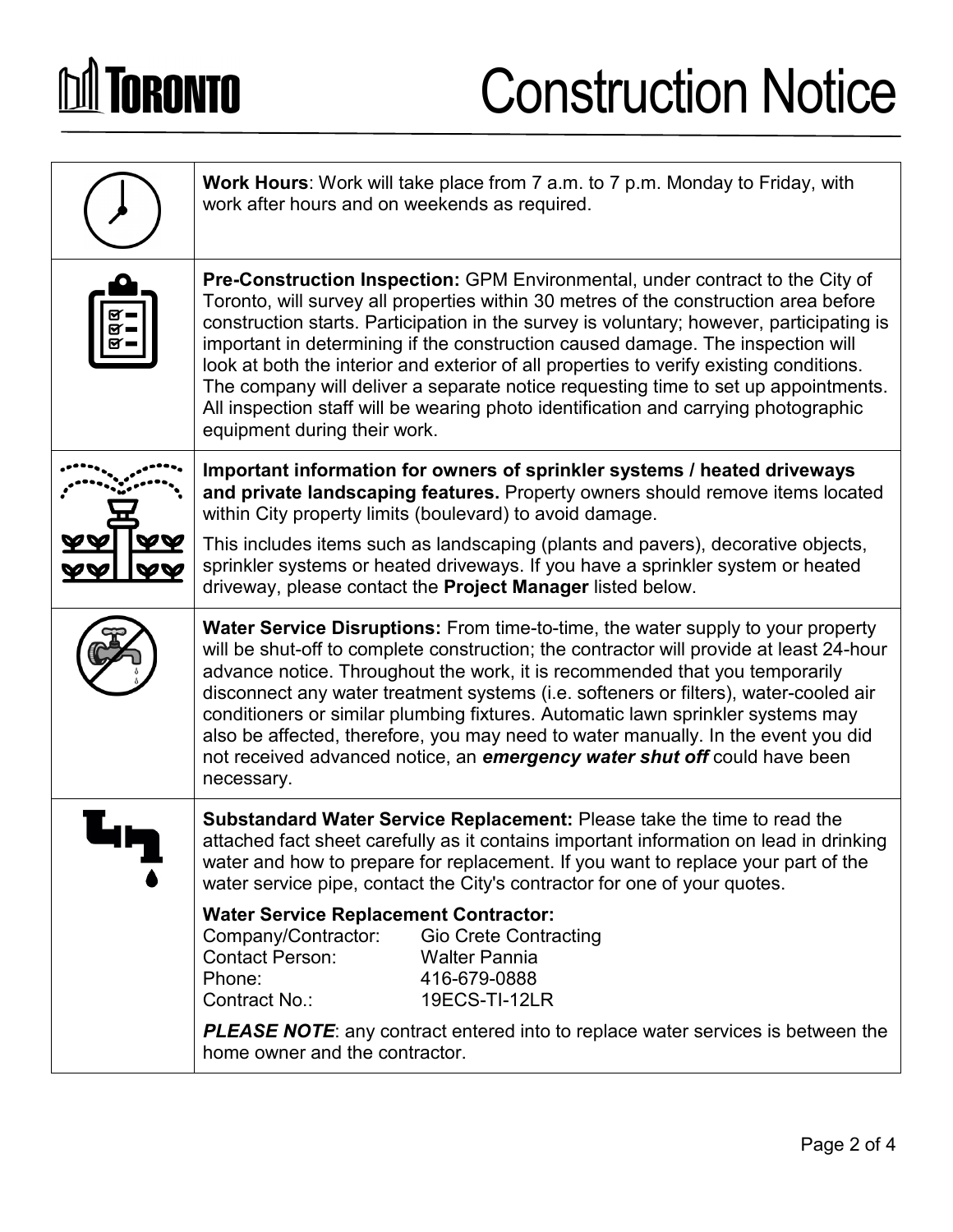# **DA TORONTO**

### Construction Notice

| <b>Work Hours:</b> Work will take place from 7 a.m. to 7 p.m. Monday to Friday, with<br>work after hours and on weekends as required.                                                                                                                                                                                                                                                                                                                                                                                                                                                                                                                               |  |
|---------------------------------------------------------------------------------------------------------------------------------------------------------------------------------------------------------------------------------------------------------------------------------------------------------------------------------------------------------------------------------------------------------------------------------------------------------------------------------------------------------------------------------------------------------------------------------------------------------------------------------------------------------------------|--|
| <b>Pre-Construction Inspection:</b> GPM Environmental, under contract to the City of<br>Toronto, will survey all properties within 30 metres of the construction area before<br>construction starts. Participation in the survey is voluntary; however, participating is<br>important in determining if the construction caused damage. The inspection will<br>look at both the interior and exterior of all properties to verify existing conditions.<br>The company will deliver a separate notice requesting time to set up appointments.<br>All inspection staff will be wearing photo identification and carrying photographic<br>equipment during their work. |  |
| Important information for owners of sprinkler systems / heated driveways<br>and private landscaping features. Property owners should remove items located<br>within City property limits (boulevard) to avoid damage.                                                                                                                                                                                                                                                                                                                                                                                                                                               |  |
| This includes items such as landscaping (plants and pavers), decorative objects,<br>sprinkler systems or heated driveways. If you have a sprinkler system or heated<br>driveway, please contact the Project Manager listed below.                                                                                                                                                                                                                                                                                                                                                                                                                                   |  |
| Water Service Disruptions: From time-to-time, the water supply to your property<br>will be shut-off to complete construction; the contractor will provide at least 24-hour<br>advance notice. Throughout the work, it is recommended that you temporarily<br>disconnect any water treatment systems (i.e. softeners or filters), water-cooled air<br>conditioners or similar plumbing fixtures. Automatic lawn sprinkler systems may<br>also be affected, therefore, you may need to water manually. In the event you did<br>not received advanced notice, an emergency water shut off could have been<br>necessary.                                                |  |
| Substandard Water Service Replacement: Please take the time to read the<br>attached fact sheet carefully as it contains important information on lead in drinking<br>water and how to prepare for replacement. If you want to replace your part of the<br>water service pipe, contact the City's contractor for one of your quotes.                                                                                                                                                                                                                                                                                                                                 |  |
| <b>Water Service Replacement Contractor:</b><br>Company/Contractor:<br><b>Gio Crete Contracting</b><br><b>Contact Person:</b><br><b>Walter Pannia</b><br>Phone:<br>416-679-0888<br>Contract No.:<br>19ECS-TI-12LR                                                                                                                                                                                                                                                                                                                                                                                                                                                   |  |
| <b>PLEASE NOTE:</b> any contract entered into to replace water services is between the<br>home owner and the contractor.                                                                                                                                                                                                                                                                                                                                                                                                                                                                                                                                            |  |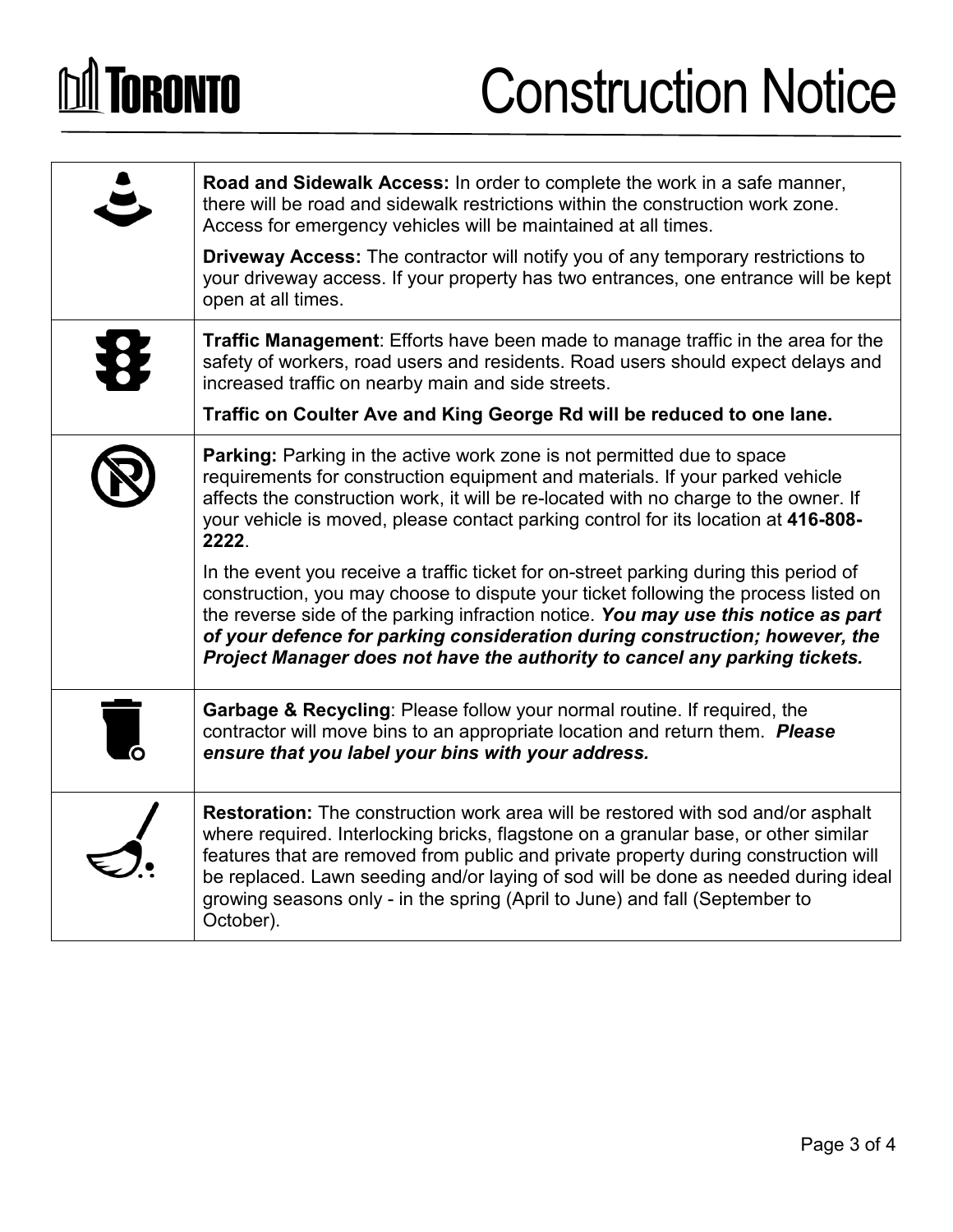# **DA TORONTO**

### Construction Notice

|                | Road and Sidewalk Access: In order to complete the work in a safe manner,<br>there will be road and sidewalk restrictions within the construction work zone.<br>Access for emergency vehicles will be maintained at all times.                                                                                                                                                                                                                          |
|----------------|---------------------------------------------------------------------------------------------------------------------------------------------------------------------------------------------------------------------------------------------------------------------------------------------------------------------------------------------------------------------------------------------------------------------------------------------------------|
|                | <b>Driveway Access:</b> The contractor will notify you of any temporary restrictions to<br>your driveway access. If your property has two entrances, one entrance will be kept<br>open at all times.                                                                                                                                                                                                                                                    |
|                | <b>Traffic Management:</b> Efforts have been made to manage traffic in the area for the<br>safety of workers, road users and residents. Road users should expect delays and<br>increased traffic on nearby main and side streets.                                                                                                                                                                                                                       |
|                | Traffic on Coulter Ave and King George Rd will be reduced to one lane.                                                                                                                                                                                                                                                                                                                                                                                  |
|                | <b>Parking:</b> Parking in the active work zone is not permitted due to space<br>requirements for construction equipment and materials. If your parked vehicle<br>affects the construction work, it will be re-located with no charge to the owner. If<br>your vehicle is moved, please contact parking control for its location at 416-808-<br>2222.                                                                                                   |
|                | In the event you receive a traffic ticket for on-street parking during this period of<br>construction, you may choose to dispute your ticket following the process listed on<br>the reverse side of the parking infraction notice. You may use this notice as part<br>of your defence for parking consideration during construction; however, the<br>Project Manager does not have the authority to cancel any parking tickets.                         |
| $\blacksquare$ | <b>Garbage &amp; Recycling: Please follow your normal routine. If required, the</b><br>contractor will move bins to an appropriate location and return them. Please<br>ensure that you label your bins with your address.                                                                                                                                                                                                                               |
|                | <b>Restoration:</b> The construction work area will be restored with sod and/or asphalt<br>where required. Interlocking bricks, flagstone on a granular base, or other similar<br>features that are removed from public and private property during construction will<br>be replaced. Lawn seeding and/or laying of sod will be done as needed during ideal<br>growing seasons only - in the spring (April to June) and fall (September to<br>October). |